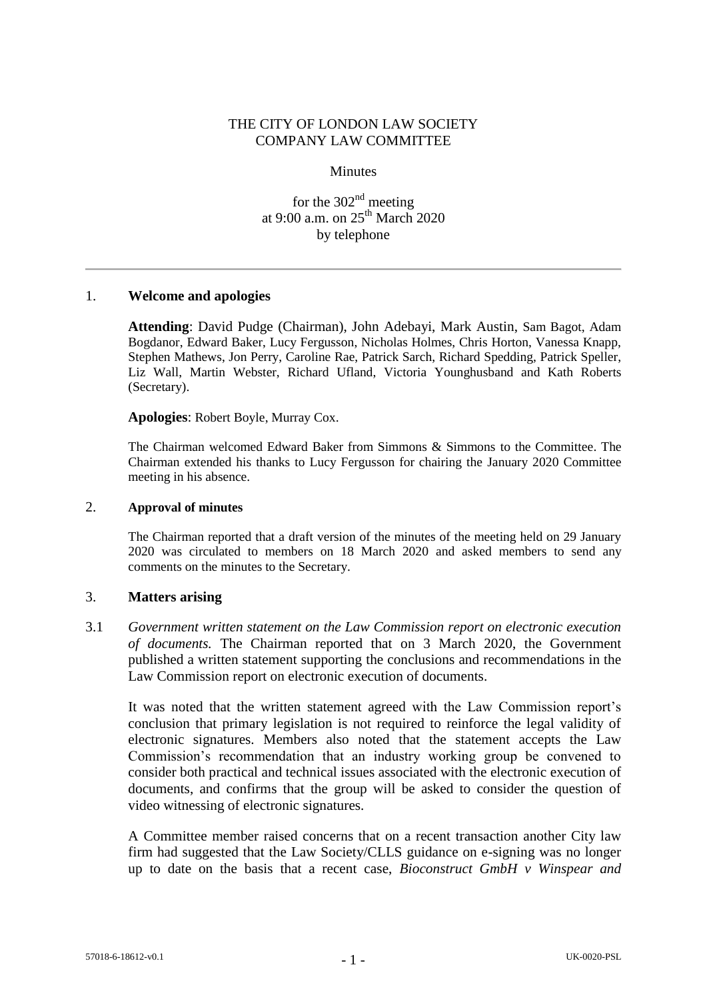## THE CITY OF LONDON LAW SOCIETY COMPANY LAW COMMITTEE

#### **Minutes**

for the  $302<sup>nd</sup>$  meeting at 9:00 a.m. on  $25<sup>th</sup>$  March 2020 by telephone

#### 1. **Welcome and apologies**

**Attending**: David Pudge (Chairman), John Adebayi, Mark Austin, Sam Bagot, Adam Bogdanor, Edward Baker, Lucy Fergusson, Nicholas Holmes, Chris Horton, Vanessa Knapp, Stephen Mathews, Jon Perry, Caroline Rae, Patrick Sarch, Richard Spedding, Patrick Speller, Liz Wall, Martin Webster, Richard Ufland, Victoria Younghusband and Kath Roberts (Secretary).

**Apologies**: Robert Boyle, Murray Cox.

The Chairman welcomed Edward Baker from Simmons & Simmons to the Committee. The Chairman extended his thanks to Lucy Fergusson for chairing the January 2020 Committee meeting in his absence.

#### 2. **Approval of minutes**

The Chairman reported that a draft version of the minutes of the meeting held on 29 January 2020 was circulated to members on 18 March 2020 and asked members to send any comments on the minutes to the Secretary.

#### 3. **Matters arising**

3.1 *Government written statement on the Law Commission report on electronic execution of documents.* The Chairman reported that on 3 March 2020, the Government published a written statement supporting the conclusions and recommendations in the Law Commission report on electronic execution of documents.

It was noted that the written statement agreed with the Law Commission report's conclusion that primary legislation is not required to reinforce the legal validity of electronic signatures. Members also noted that the statement accepts the Law Commission's recommendation that an industry working group be convened to consider both practical and technical issues associated with the electronic execution of documents, and confirms that the group will be asked to consider the question of video witnessing of electronic signatures.

A Committee member raised concerns that on a recent transaction another City law firm had suggested that the Law Society/CLLS guidance on e-signing was no longer up to date on the basis that a recent case, *Bioconstruct GmbH v Winspear and*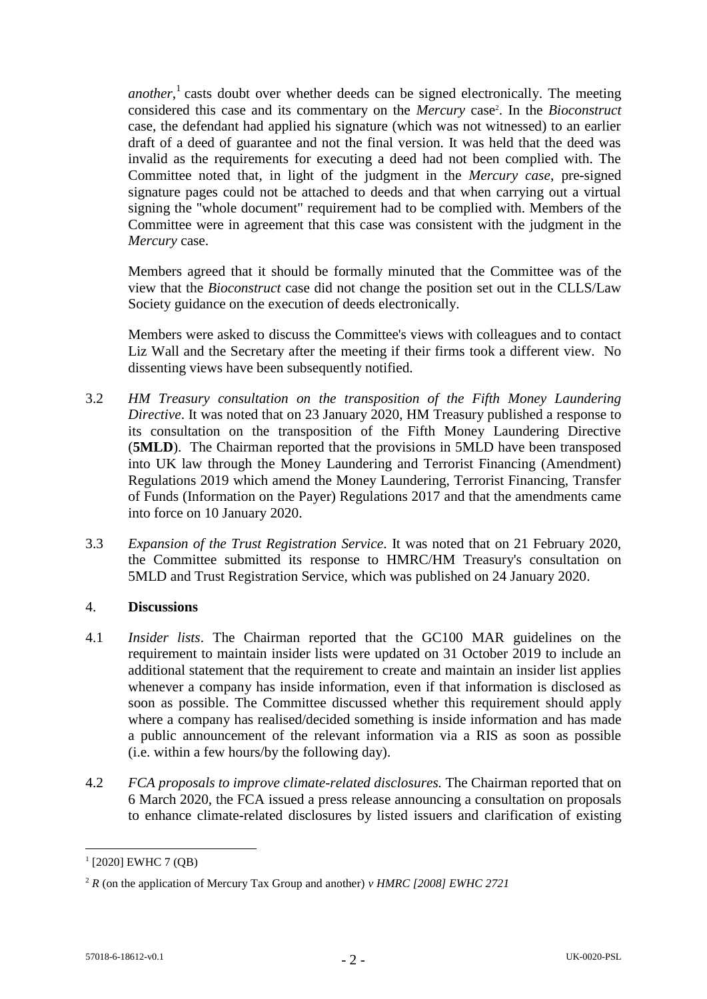*another*,<sup>1</sup> casts doubt over whether deeds can be signed electronically. The meeting considered this case and its commentary on the *Mercury* case<sup>2</sup> . In the *Bioconstruct* case, the defendant had applied his signature (which was not witnessed) to an earlier draft of a deed of guarantee and not the final version. It was held that the deed was invalid as the requirements for executing a deed had not been complied with. The Committee noted that, in light of the judgment in the *Mercury case*, pre-signed signature pages could not be attached to deeds and that when carrying out a virtual signing the "whole document" requirement had to be complied with. Members of the Committee were in agreement that this case was consistent with the judgment in the *Mercury* case.

Members agreed that it should be formally minuted that the Committee was of the view that the *Bioconstruct* case did not change the position set out in the CLLS/Law Society guidance on the execution of deeds electronically.

Members were asked to discuss the Committee's views with colleagues and to contact Liz Wall and the Secretary after the meeting if their firms took a different view. No dissenting views have been subsequently notified.

- 3.2 *HM Treasury consultation on the transposition of the Fifth Money Laundering Directive*. It was noted that on 23 January 2020, HM Treasury published a response to its consultation on the transposition of the Fifth Money Laundering Directive (**5MLD**). The Chairman reported that the provisions in 5MLD have been transposed into UK law through the Money Laundering and Terrorist Financing (Amendment) Regulations 2019 which amend the Money Laundering, Terrorist Financing, Transfer of Funds (Information on the Payer) Regulations 2017 and that the amendments came into force on 10 January 2020.
- 3.3 *Expansion of the Trust Registration Service*. It was noted that on 21 February 2020, the Committee submitted its response to HMRC/HM Treasury's consultation on 5MLD and Trust Registration Service, which was published on 24 January 2020.

# 4. **Discussions**

- 4.1 *Insider lists*. The Chairman reported that the GC100 MAR guidelines on the requirement to maintain insider lists were updated on 31 October 2019 to include an additional statement that the requirement to create and maintain an insider list applies whenever a company has inside information, even if that information is disclosed as soon as possible. The Committee discussed whether this requirement should apply where a company has realised/decided something is inside information and has made a public announcement of the relevant information via a RIS as soon as possible (i.e. within a few hours/by the following day).
- 4.2 *FCA proposals to improve climate-related disclosures.* The Chairman reported that on 6 March 2020, the FCA issued a press release announcing a consultation on proposals to enhance climate-related disclosures by listed issuers and clarification of existing

<u>.</u>

<sup>&</sup>lt;sup>1</sup> [2020] EWHC 7 (QB)

<sup>2</sup> *R* (on the application of Mercury Tax Group and another) *v HMRC [2008] EWHC 2721*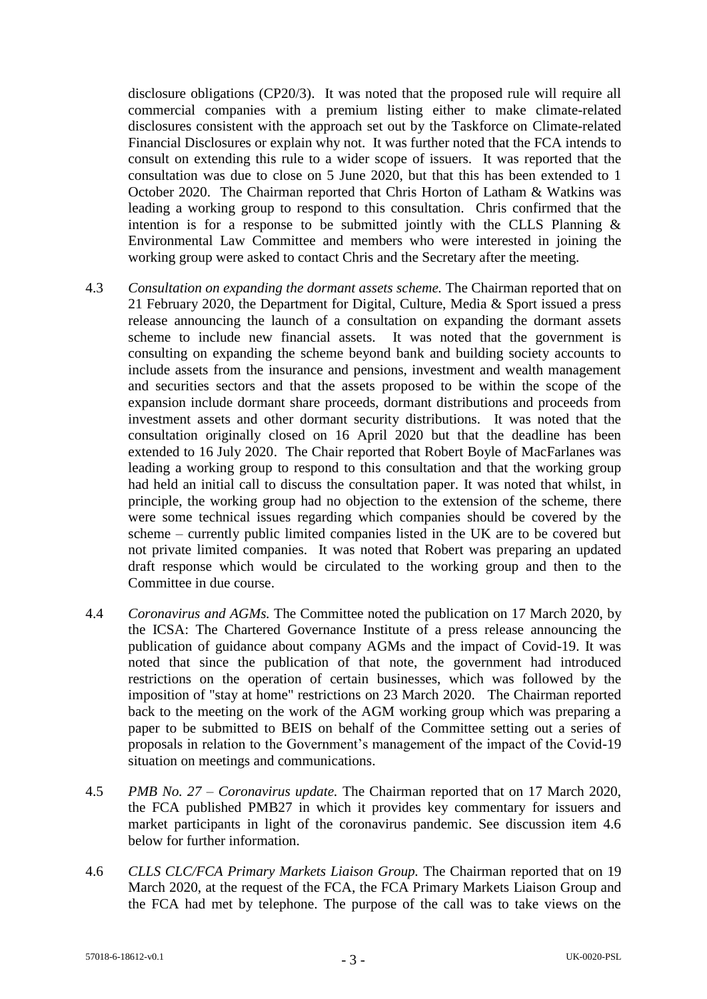disclosure obligations (CP20/3). It was noted that the proposed rule will require all commercial companies with a premium listing either to make climate-related disclosures consistent with the approach set out by the Taskforce on Climate-related Financial Disclosures or explain why not. It was further noted that the FCA intends to consult on extending this rule to a wider scope of issuers. It was reported that the consultation was due to close on 5 June 2020, but that this has been extended to 1 October 2020. The Chairman reported that Chris Horton of Latham & Watkins was leading a working group to respond to this consultation. Chris confirmed that the intention is for a response to be submitted jointly with the CLLS Planning & Environmental Law Committee and members who were interested in joining the working group were asked to contact Chris and the Secretary after the meeting.

- 4.3 *Consultation on expanding the dormant assets scheme.* The Chairman reported that on 21 February 2020, the Department for Digital, Culture, Media & Sport issued a press release announcing the launch of a consultation on expanding the dormant assets scheme to include new financial assets. It was noted that the government is consulting on expanding the scheme beyond bank and building society accounts to include assets from the insurance and pensions, investment and wealth management and securities sectors and that the assets proposed to be within the scope of the expansion include dormant share proceeds, dormant distributions and proceeds from investment assets and other dormant security distributions. It was noted that the consultation originally closed on 16 April 2020 but that the deadline has been extended to 16 July 2020. The Chair reported that Robert Boyle of MacFarlanes was leading a working group to respond to this consultation and that the working group had held an initial call to discuss the consultation paper. It was noted that whilst, in principle, the working group had no objection to the extension of the scheme, there were some technical issues regarding which companies should be covered by the scheme – currently public limited companies listed in the UK are to be covered but not private limited companies. It was noted that Robert was preparing an updated draft response which would be circulated to the working group and then to the Committee in due course.
- 4.4 *Coronavirus and AGMs.* The Committee noted the publication on 17 March 2020, by the ICSA: The Chartered Governance Institute of a press release announcing the publication of guidance about company AGMs and the impact of Covid-19. It was noted that since the publication of that note, the government had introduced restrictions on the operation of certain businesses, which was followed by the imposition of "stay at home" restrictions on 23 March 2020. The Chairman reported back to the meeting on the work of the AGM working group which was preparing a paper to be submitted to BEIS on behalf of the Committee setting out a series of proposals in relation to the Government's management of the impact of the Covid-19 situation on meetings and communications.
- 4.5 *PMB No. 27 – Coronavirus update.* The Chairman reported that on 17 March 2020, the FCA published PMB27 in which it provides key commentary for issuers and market participants in light of the coronavirus pandemic. See discussion item 4.6 below for further information.
- 4.6 *CLLS CLC/FCA Primary Markets Liaison Group.* The Chairman reported that on 19 March 2020, at the request of the FCA, the FCA Primary Markets Liaison Group and the FCA had met by telephone. The purpose of the call was to take views on the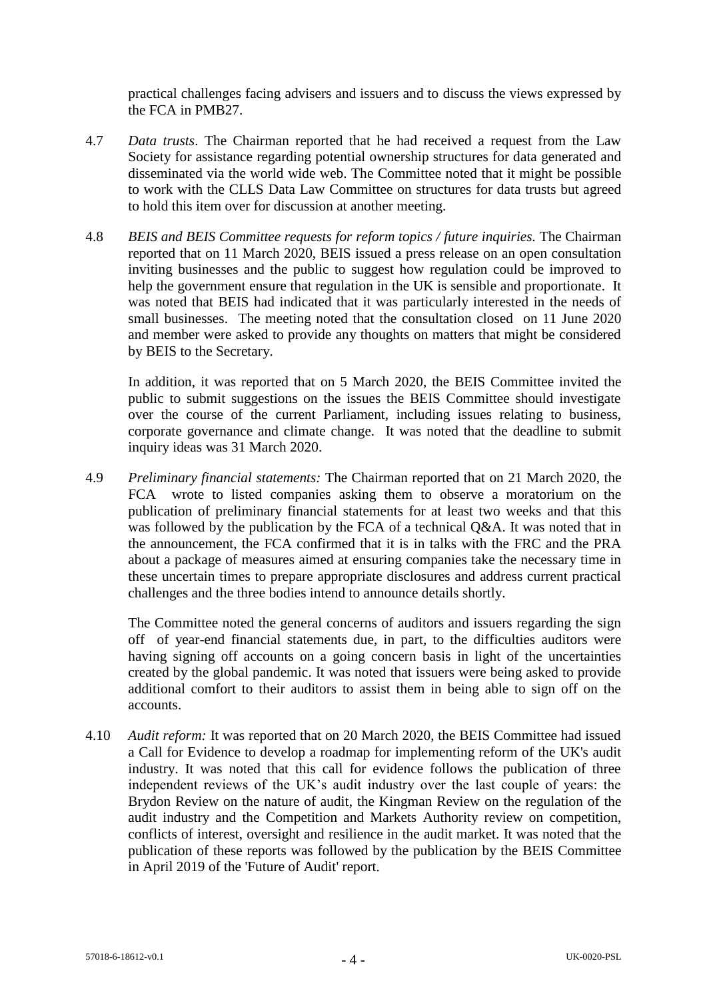practical challenges facing advisers and issuers and to discuss the views expressed by the FCA in PMB27.

- 4.7 *Data trusts*. The Chairman reported that he had received a request from the Law Society for assistance regarding potential ownership structures for data generated and disseminated via the world wide web. The Committee noted that it might be possible to work with the CLLS Data Law Committee on structures for data trusts but agreed to hold this item over for discussion at another meeting.
- 4.8 *BEIS and BEIS Committee requests for reform topics / future inquiries.* The Chairman reported that on 11 March 2020, BEIS issued a press release on an open consultation inviting businesses and the public to suggest how regulation could be improved to help the government ensure that regulation in the UK is sensible and proportionate. It was noted that BEIS had indicated that it was particularly interested in the needs of small businesses. The meeting noted that the consultation closed on 11 June 2020 and member were asked to provide any thoughts on matters that might be considered by BEIS to the Secretary.

In addition, it was reported that on 5 March 2020, the BEIS Committee invited the public to submit suggestions on the issues the BEIS Committee should investigate over the course of the current Parliament, including issues relating to business, corporate governance and climate change. It was noted that the deadline to submit inquiry ideas was 31 March 2020.

4.9 *Preliminary financial statements:* The Chairman reported that on 21 March 2020, the FCA wrote to listed companies asking them to observe a moratorium on the publication of preliminary financial statements for at least two weeks and that this was followed by the publication by the FCA of a technical Q&A. It was noted that in the announcement, the FCA confirmed that it is in talks with the FRC and the PRA about a package of measures aimed at ensuring companies take the necessary time in these uncertain times to prepare appropriate disclosures and address current practical challenges and the three bodies intend to announce details shortly.

The Committee noted the general concerns of auditors and issuers regarding the sign off of year-end financial statements due, in part, to the difficulties auditors were having signing off accounts on a going concern basis in light of the uncertainties created by the global pandemic. It was noted that issuers were being asked to provide additional comfort to their auditors to assist them in being able to sign off on the accounts.

4.10 *Audit reform:* It was reported that on 20 March 2020, the BEIS Committee had issued a Call for Evidence to develop a roadmap for implementing reform of the UK's audit industry. It was noted that this call for evidence follows the publication of three independent reviews of the UK's audit industry over the last couple of years: the Brydon Review on the nature of audit, the Kingman Review on the regulation of the audit industry and the Competition and Markets Authority review on competition, conflicts of interest, oversight and resilience in the audit market. It was noted that the publication of these reports was followed by the publication by the BEIS Committee in April 2019 of the 'Future of Audit' report.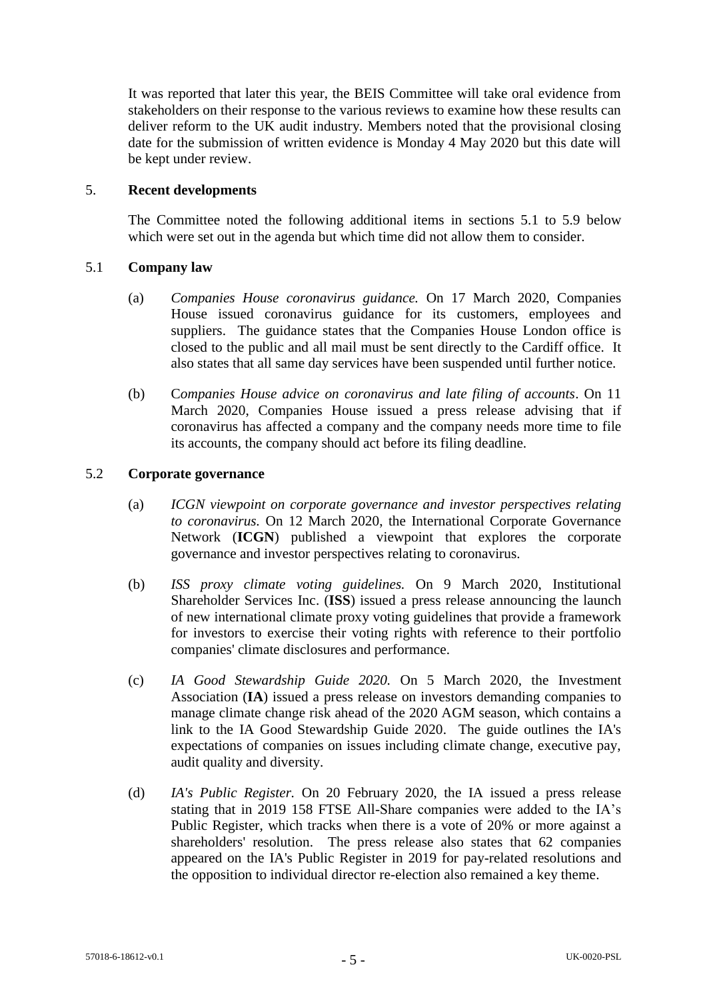It was reported that later this year, the BEIS Committee will take oral evidence from stakeholders on their response to the various reviews to examine how these results can deliver reform to the UK audit industry. Members noted that the provisional closing date for the submission of written evidence is Monday 4 May 2020 but this date will be kept under review.

## 5. **Recent developments**

The Committee noted the following additional items in sections 5.1 to 5.9 below which were set out in the agenda but which time did not allow them to consider.

# 5.1 **Company law**

- (a) *Companies House coronavirus guidance.* On 17 March 2020, Companies House issued coronavirus guidance for its customers, employees and suppliers. The guidance states that the Companies House London office is closed to the public and all mail must be sent directly to the Cardiff office. It also states that all same day services have been suspended until further notice.
- (b) C*ompanies House advice on coronavirus and late filing of accounts*. On 11 March 2020, Companies House issued a press release advising that if coronavirus has affected a company and the company needs more time to file its accounts, the company should act before its filing deadline.

## 5.2 **Corporate governance**

- (a) *ICGN viewpoint on corporate governance and investor perspectives relating to coronavirus.* On 12 March 2020, the International Corporate Governance Network (**ICGN**) published a viewpoint that explores the corporate governance and investor perspectives relating to coronavirus.
- (b) *ISS proxy climate voting guidelines.* On 9 March 2020, Institutional Shareholder Services Inc. (**ISS**) issued a press release announcing the launch of new international climate proxy voting guidelines that provide a framework for investors to exercise their voting rights with reference to their portfolio companies' climate disclosures and performance.
- (c) *IA Good Stewardship Guide 2020.* On 5 March 2020, the Investment Association (**IA**) issued a press release on investors demanding companies to manage climate change risk ahead of the 2020 AGM season, which contains a link to the IA Good Stewardship Guide 2020. The guide outlines the IA's expectations of companies on issues including climate change, executive pay, audit quality and diversity.
- (d) *IA's Public Register.* On 20 February 2020, the IA issued a press release stating that in 2019 158 FTSE All-Share companies were added to the IA's Public Register, which tracks when there is a vote of 20% or more against a shareholders' resolution. The press release also states that 62 companies appeared on the IA's Public Register in 2019 for pay-related resolutions and the opposition to individual director re-election also remained a key theme.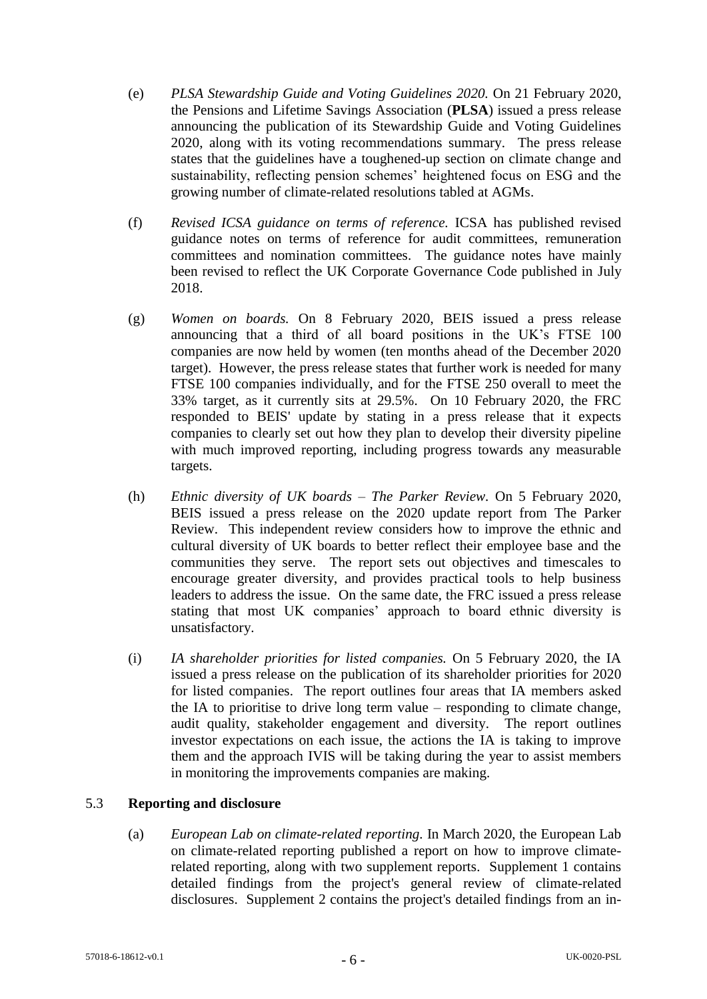- (e) *PLSA Stewardship Guide and Voting Guidelines 2020.* On 21 February 2020, the Pensions and Lifetime Savings Association (**PLSA**) issued a press release announcing the publication of its Stewardship Guide and Voting Guidelines 2020, along with its voting recommendations summary. The press release states that the guidelines have a toughened-up section on climate change and sustainability, reflecting pension schemes' heightened focus on ESG and the growing number of climate-related resolutions tabled at AGMs.
- (f) *Revised ICSA guidance on terms of reference.* ICSA has published revised guidance notes on terms of reference for audit committees, remuneration committees and nomination committees. The guidance notes have mainly been revised to reflect the UK Corporate Governance Code published in July 2018.
- (g) *Women on boards.* On 8 February 2020, BEIS issued a press release announcing that a third of all board positions in the UK's FTSE 100 companies are now held by women (ten months ahead of the December 2020 target). However, the press release states that further work is needed for many FTSE 100 companies individually, and for the FTSE 250 overall to meet the 33% target, as it currently sits at 29.5%. On 10 February 2020, the FRC responded to BEIS' update by stating in a press release that it expects companies to clearly set out how they plan to develop their diversity pipeline with much improved reporting, including progress towards any measurable targets.
- (h) *Ethnic diversity of UK boards – The Parker Review.* On 5 February 2020, BEIS issued a press release on the 2020 update report from The Parker Review. This independent review considers how to improve the ethnic and cultural diversity of UK boards to better reflect their employee base and the communities they serve. The report sets out objectives and timescales to encourage greater diversity, and provides practical tools to help business leaders to address the issue. On the same date, the FRC issued a press release stating that most UK companies' approach to board ethnic diversity is unsatisfactory.
- (i) *IA shareholder priorities for listed companies.* On 5 February 2020, the IA issued a press release on the publication of its shareholder priorities for 2020 for listed companies. The report outlines four areas that IA members asked the IA to prioritise to drive long term value – responding to climate change, audit quality, stakeholder engagement and diversity. The report outlines investor expectations on each issue, the actions the IA is taking to improve them and the approach IVIS will be taking during the year to assist members in monitoring the improvements companies are making.

## 5.3 **Reporting and disclosure**

(a) *European Lab on climate-related reporting.* In March 2020, the European Lab on climate-related reporting published a report on how to improve climaterelated reporting, along with two supplement reports. Supplement 1 contains detailed findings from the project's general review of climate-related disclosures. Supplement 2 contains the project's detailed findings from an in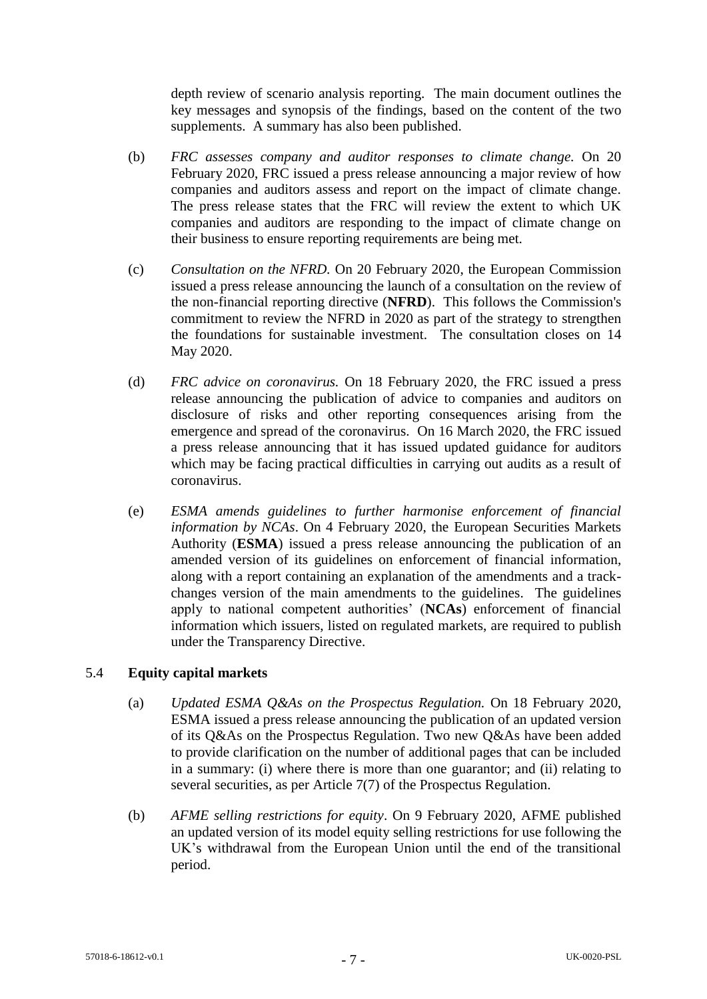depth review of scenario analysis reporting. The main document outlines the key messages and synopsis of the findings, based on the content of the two supplements. A summary has also been published.

- (b) *FRC assesses company and auditor responses to climate change.* On 20 February 2020, FRC issued a press release announcing a major review of how companies and auditors assess and report on the impact of climate change. The press release states that the FRC will review the extent to which UK companies and auditors are responding to the impact of climate change on their business to ensure reporting requirements are being met.
- (c) *Consultation on the NFRD.* On 20 February 2020, the European Commission issued a press release announcing the launch of a consultation on the review of the non-financial reporting directive (**NFRD**). This follows the Commission's commitment to review the NFRD in 2020 as part of the strategy to strengthen the foundations for sustainable investment. The consultation closes on 14 May 2020.
- (d) *FRC advice on coronavirus.* On 18 February 2020, the FRC issued a press release announcing the publication of advice to companies and auditors on disclosure of risks and other reporting consequences arising from the emergence and spread of the coronavirus. On 16 March 2020, the FRC issued a press release announcing that it has issued updated guidance for auditors which may be facing practical difficulties in carrying out audits as a result of coronavirus.
- (e) *ESMA amends guidelines to further harmonise enforcement of financial information by NCAs*. On 4 February 2020, the European Securities Markets Authority (**ESMA**) issued a press release announcing the publication of an amended version of its guidelines on enforcement of financial information, along with a report containing an explanation of the amendments and a trackchanges version of the main amendments to the guidelines. The guidelines apply to national competent authorities' (**NCAs**) enforcement of financial information which issuers, listed on regulated markets, are required to publish under the Transparency Directive.

## 5.4 **Equity capital markets**

- (a) *Updated ESMA Q&As on the Prospectus Regulation.* On 18 February 2020, ESMA issued a press release announcing the publication of an updated version of its Q&As on the Prospectus Regulation. Two new Q&As have been added to provide clarification on the number of additional pages that can be included in a summary: (i) where there is more than one guarantor; and (ii) relating to several securities, as per Article 7(7) of the Prospectus Regulation.
- (b) *AFME selling restrictions for equity*. On 9 February 2020, AFME published an updated version of its model equity selling restrictions for use following the UK's withdrawal from the European Union until the end of the transitional period.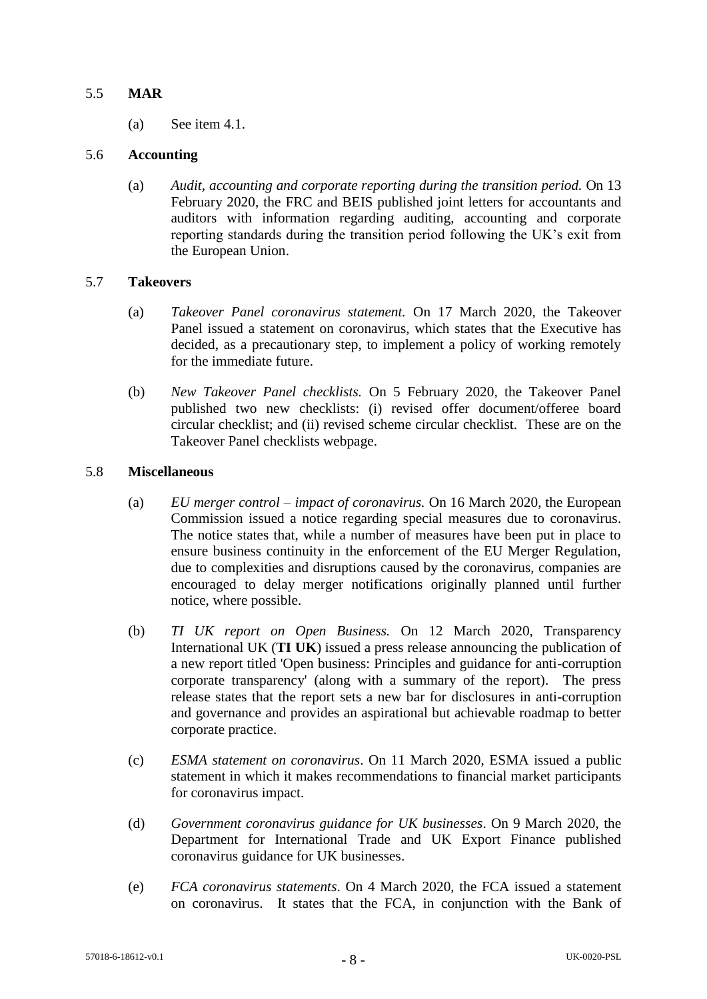# 5.5 **MAR**

(a) See item 4.1.

## 5.6 **Accounting**

(a) *Audit, accounting and corporate reporting during the transition period.* On 13 February 2020, the FRC and BEIS published joint letters for accountants and auditors with information regarding auditing, accounting and corporate reporting standards during the transition period following the UK's exit from the European Union.

# 5.7 **Takeovers**

- (a) *Takeover Panel coronavirus statement.* On 17 March 2020, the Takeover Panel issued a statement on coronavirus, which states that the Executive has decided, as a precautionary step, to implement a policy of working remotely for the immediate future.
- (b) *New Takeover Panel checklists.* On 5 February 2020, the Takeover Panel published two new checklists: (i) revised offer document/offeree board circular checklist; and (ii) revised scheme circular checklist. These are on the Takeover Panel checklists webpage.

## 5.8 **Miscellaneous**

- (a) *EU merger control – impact of coronavirus.* On 16 March 2020, the European Commission issued a notice regarding special measures due to coronavirus. The notice states that, while a number of measures have been put in place to ensure business continuity in the enforcement of the EU Merger Regulation, due to complexities and disruptions caused by the coronavirus, companies are encouraged to delay merger notifications originally planned until further notice, where possible.
- (b) *TI UK report on Open Business.* On 12 March 2020, Transparency International UK (**TI UK**) issued a press release announcing the publication of a new report titled 'Open business: Principles and guidance for anti-corruption corporate transparency' (along with a summary of the report). The press release states that the report sets a new bar for disclosures in anti-corruption and governance and provides an aspirational but achievable roadmap to better corporate practice.
- (c) *ESMA statement on coronavirus*. On 11 March 2020, ESMA issued a public statement in which it makes recommendations to financial market participants for coronavirus impact.
- (d) *Government coronavirus guidance for UK businesses*. On 9 March 2020, the Department for International Trade and UK Export Finance published coronavirus guidance for UK businesses.
- (e) *FCA coronavirus statements*. On 4 March 2020, the FCA issued a statement on coronavirus. It states that the FCA, in conjunction with the Bank of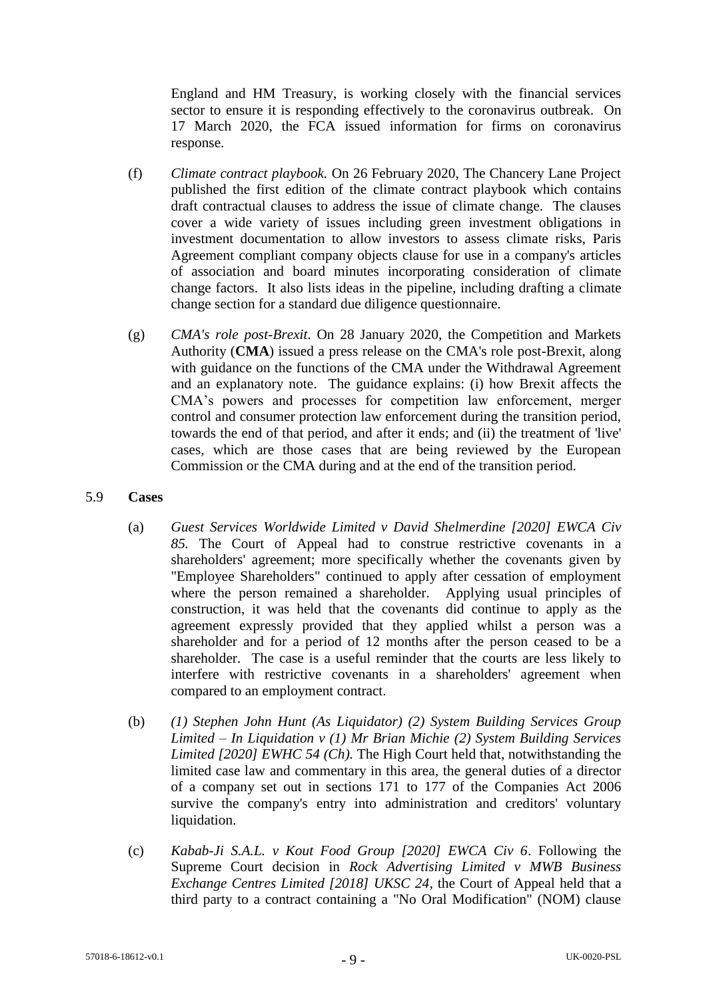England and HM Treasury, is working closely with the financial services sector to ensure it is responding effectively to the coronavirus outbreak. On 17 March 2020, the FCA issued information for firms on coronavirus response.

- (f) *Climate contract playbook.* On 26 February 2020, The Chancery Lane Project published the first edition of the climate contract playbook which contains draft contractual clauses to address the issue of climate change. The clauses cover a wide variety of issues including green investment obligations in investment documentation to allow investors to assess climate risks, Paris Agreement compliant company objects clause for use in a company's articles of association and board minutes incorporating consideration of climate change factors. It also lists ideas in the pipeline, including drafting a climate change section for a standard due diligence questionnaire.
- (g) *CMA's role post-Brexit*. On 28 January 2020, the Competition and Markets Authority (**CMA**) issued a press release on the CMA's role post-Brexit, along with guidance on the functions of the CMA under the Withdrawal Agreement and an explanatory note. The guidance explains: (i) how Brexit affects the CMA's powers and processes for competition law enforcement, merger control and consumer protection law enforcement during the transition period, towards the end of that period, and after it ends; and (ii) the treatment of 'live' cases, which are those cases that are being reviewed by the European Commission or the CMA during and at the end of the transition period.

#### 5.9 **Cases**

- (a) *Guest Services Worldwide Limited v David Shelmerdine [2020] EWCA Civ 85.* The Court of Appeal had to construe restrictive covenants in a shareholders' agreement; more specifically whether the covenants given by "Employee Shareholders" continued to apply after cessation of employment where the person remained a shareholder. Applying usual principles of construction, it was held that the covenants did continue to apply as the agreement expressly provided that they applied whilst a person was a shareholder and for a period of 12 months after the person ceased to be a shareholder. The case is a useful reminder that the courts are less likely to interfere with restrictive covenants in a shareholders' agreement when compared to an employment contract.
- (b) *(1) Stephen John Hunt (As Liquidator) (2) System Building Services Group Limited – In Liquidation v (1) Mr Brian Michie (2) System Building Services Limited [2020] EWHC 54 (Ch).* The High Court held that, notwithstanding the limited case law and commentary in this area, the general duties of a director of a company set out in sections 171 to 177 of the Companies Act 2006 survive the company's entry into administration and creditors' voluntary liquidation.
- (c) *Kabab-Ji S.A.L. v Kout Food Group [2020] EWCA Civ 6*. Following the Supreme Court decision in *Rock Advertising Limited v MWB Business Exchange Centres Limited [2018] UKSC 24*, the Court of Appeal held that a third party to a contract containing a "No Oral Modification" (NOM) clause